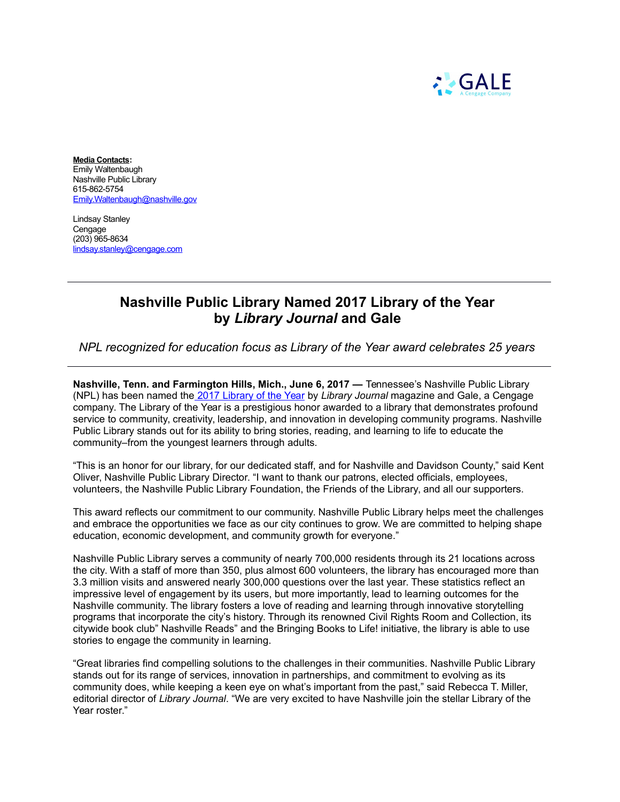

**Media Contacts:** Emily Waltenbaugh Nashville Public Library 615-862-5754 [Emily.Waltenbaugh@nashville.gov](mailto:Andrea.Fanta@nashville.gov)

Lindsay Stanley Cengage (203) 965-8634 [lindsay.stanley@cengage.com](mailto:lindsay.stanley@cengage.com)

## **Nashville Public Library Named 2017 Library of the Year by** *Library Journal* **and Gale**

*NPL recognized for education focus as Library of the Year award celebrates 25 years* 

**Nashville, Tenn. and Farmington Hills, Mich., June 6, 2017 —** Tennessee's Nashville Public Library (NPL) has been named th[e 2017 Library of the Year](http://libraryjournal.com/LOY) by *Library Journal* magazine and Gale, a Cengage company. The Library of the Year is a prestigious honor awarded to a library that demonstrates profound service to community, creativity, leadership, and innovation in developing community programs. Nashville Public Library stands out for its ability to bring stories, reading, and learning to life to educate the community–from the youngest learners through adults.

"This is an honor for our library, for our dedicated staff, and for Nashville and Davidson County," said Kent Oliver, Nashville Public Library Director. "I want to thank our patrons, elected officials, employees, volunteers, the Nashville Public Library Foundation, the Friends of the Library, and all our supporters.

This award reflects our commitment to our community. Nashville Public Library helps meet the challenges and embrace the opportunities we face as our city continues to grow. We are committed to helping shape education, economic development, and community growth for everyone."

Nashville Public Library serves a community of nearly 700,000 residents through its 21 locations across the city. With a staff of more than 350, plus almost 600 volunteers, the library has encouraged more than 3.3 million visits and answered nearly 300,000 questions over the last year. These statistics reflect an impressive level of engagement by its users, but more importantly, lead to learning outcomes for the Nashville community. The library fosters a love of reading and learning through innovative storytelling programs that incorporate the city's history. Through its renowned Civil Rights Room and Collection, its citywide book club" Nashville Reads" and the Bringing Books to Life! initiative, the library is able to use stories to engage the community in learning.

"Great libraries find compelling solutions to the challenges in their communities. Nashville Public Library stands out for its range of services, innovation in partnerships, and commitment to evolving as its community does, while keeping a keen eye on what's important from the past," said Rebecca T. Miller, editorial director of *Library Journal*. "We are very excited to have Nashville join the stellar Library of the Year roster."